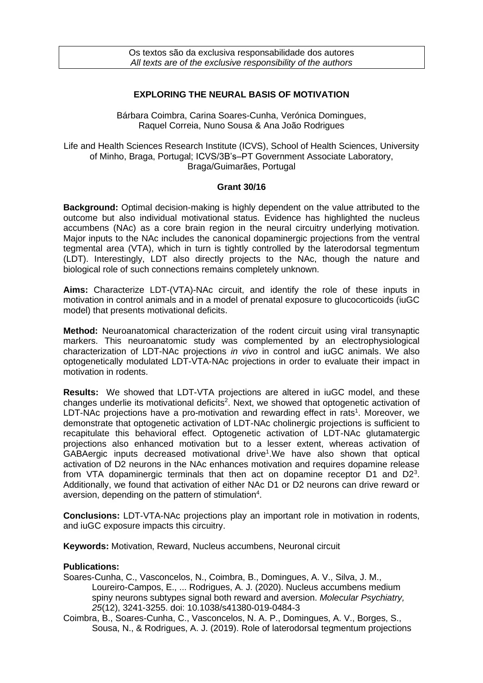## **EXPLORING THE NEURAL BASIS OF MOTIVATION**

Bárbara Coimbra, Carina Soares-Cunha, Verónica Domingues, Raquel Correia, Nuno Sousa & Ana João Rodrigues

Life and Health Sciences Research Institute (ICVS), School of Health Sciences, University of Minho, Braga, Portugal; ICVS/3B's–PT Government Associate Laboratory, Braga/Guimarães, Portugal

## **Grant 30/16**

**Background:** Optimal decision-making is highly dependent on the value attributed to the outcome but also individual motivational status. Evidence has highlighted the nucleus accumbens (NAc) as a core brain region in the neural circuitry underlying motivation. Major inputs to the NAc includes the canonical dopaminergic projections from the ventral tegmental area (VTA), which in turn is tightly controlled by the laterodorsal tegmentum (LDT). Interestingly, LDT also directly projects to the NAc, though the nature and biological role of such connections remains completely unknown.

**Aims:** Characterize LDT-(VTA)-NAc circuit, and identify the role of these inputs in motivation in control animals and in a model of prenatal exposure to glucocorticoids (iuGC model) that presents motivational deficits.

**Method:** Neuroanatomical characterization of the rodent circuit using viral transynaptic markers. This neuroanatomic study was complemented by an electrophysiological characterization of LDT-NAc projections *in vivo* in control and iuGC animals. We also optogenetically modulated LDT-VTA-NAc projections in order to evaluate their impact in motivation in rodents.

**Results:** We showed that LDT-VTA projections are altered in iuGC model, and these changes underlie its motivational deficits<sup>2</sup>. Next, we showed that optogenetic activation of LDT-NAc projections have a pro-motivation and rewarding effect in rats<sup>1</sup>. Moreover, we demonstrate that optogenetic activation of LDT-NAc cholinergic projections is sufficient to recapitulate this behavioral effect. Optogenetic activation of LDT-NAc glutamatergic projections also enhanced motivation but to a lesser extent, whereas activation of GABAergic inputs decreased motivational drive<sup>1</sup>. We have also shown that optical activation of D2 neurons in the NAc enhances motivation and requires dopamine release from VTA dopaminergic terminals that then act on dopamine receptor  $D1$  and  $D2<sup>3</sup>$ . Additionally, we found that activation of either NAc D1 or D2 neurons can drive reward or aversion, depending on the pattern of stimulation $4$ .

**Conclusions:** LDT-VTA-NAc projections play an important role in motivation in rodents, and iuGC exposure impacts this circuitry.

**Keywords:** Motivation, Reward, Nucleus accumbens, Neuronal circuit

## **Publications:**

- Soares-Cunha, C., Vasconcelos, N., Coimbra, B., Domingues, A. V., Silva, J. M., Loureiro-Campos, E., ... Rodrigues, A. J. (2020). Nucleus accumbens medium spiny neurons subtypes signal both reward and aversion. *Molecular Psychiatry, 25*(12), 3241-3255. doi: 10.1038/s41380-019-0484-3
- Coimbra, B., Soares-Cunha, C., Vasconcelos, N. A. P., Domingues, A. V., Borges, S., Sousa, N., & Rodrigues, A. J. (2019). Role of laterodorsal tegmentum projections